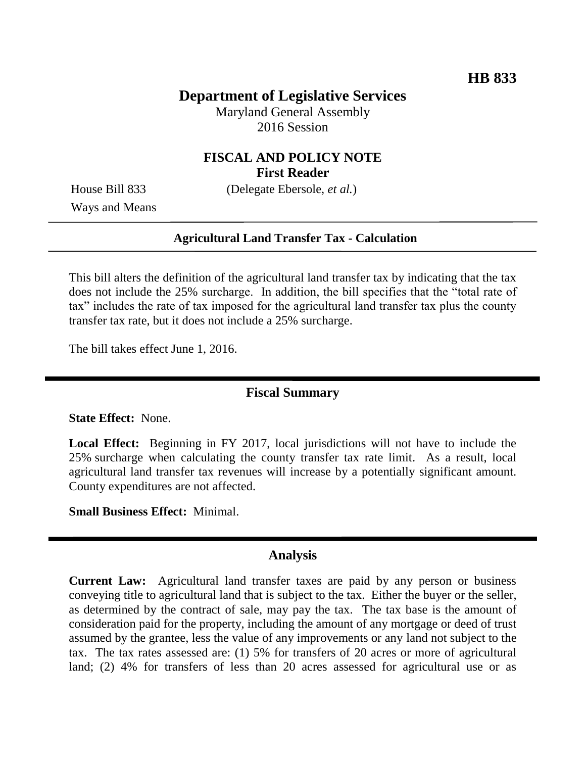# **Department of Legislative Services**

Maryland General Assembly 2016 Session

## **FISCAL AND POLICY NOTE First Reader**

House Bill 833 (Delegate Ebersole, *et al.*)

Ways and Means

#### **Agricultural Land Transfer Tax - Calculation**

This bill alters the definition of the agricultural land transfer tax by indicating that the tax does not include the 25% surcharge. In addition, the bill specifies that the "total rate of tax" includes the rate of tax imposed for the agricultural land transfer tax plus the county transfer tax rate, but it does not include a 25% surcharge.

The bill takes effect June 1, 2016.

# **Fiscal Summary**

**State Effect:** None.

**Local Effect:** Beginning in FY 2017, local jurisdictions will not have to include the 25% surcharge when calculating the county transfer tax rate limit. As a result, local agricultural land transfer tax revenues will increase by a potentially significant amount. County expenditures are not affected.

**Small Business Effect:** Minimal.

#### **Analysis**

**Current Law:** Agricultural land transfer taxes are paid by any person or business conveying title to agricultural land that is subject to the tax. Either the buyer or the seller, as determined by the contract of sale, may pay the tax. The tax base is the amount of consideration paid for the property, including the amount of any mortgage or deed of trust assumed by the grantee, less the value of any improvements or any land not subject to the tax. The tax rates assessed are: (1) 5% for transfers of 20 acres or more of agricultural land; (2) 4% for transfers of less than 20 acres assessed for agricultural use or as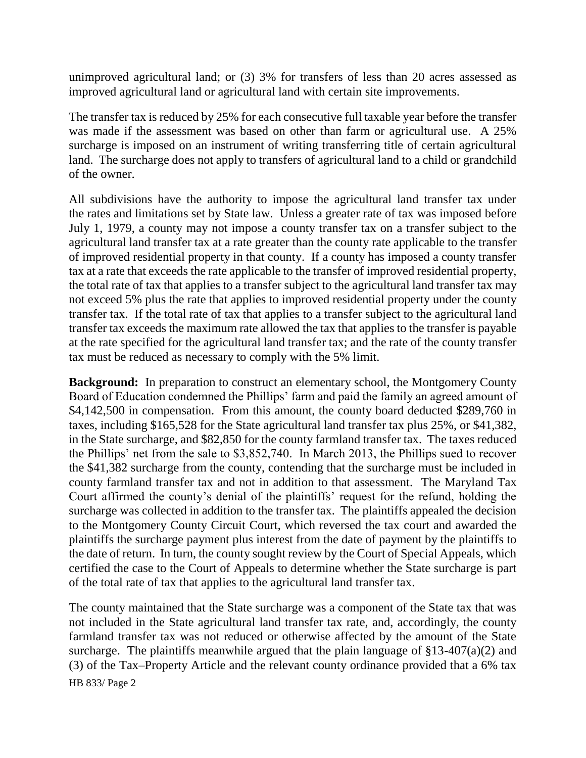unimproved agricultural land; or (3) 3% for transfers of less than 20 acres assessed as improved agricultural land or agricultural land with certain site improvements.

The transfer tax is reduced by 25% for each consecutive full taxable year before the transfer was made if the assessment was based on other than farm or agricultural use. A 25% surcharge is imposed on an instrument of writing transferring title of certain agricultural land. The surcharge does not apply to transfers of agricultural land to a child or grandchild of the owner.

All subdivisions have the authority to impose the agricultural land transfer tax under the rates and limitations set by State law. Unless a greater rate of tax was imposed before July 1, 1979, a county may not impose a county transfer tax on a transfer subject to the agricultural land transfer tax at a rate greater than the county rate applicable to the transfer of improved residential property in that county. If a county has imposed a county transfer tax at a rate that exceeds the rate applicable to the transfer of improved residential property, the total rate of tax that applies to a transfer subject to the agricultural land transfer tax may not exceed 5% plus the rate that applies to improved residential property under the county transfer tax. If the total rate of tax that applies to a transfer subject to the agricultural land transfer tax exceeds the maximum rate allowed the tax that applies to the transfer is payable at the rate specified for the agricultural land transfer tax; and the rate of the county transfer tax must be reduced as necessary to comply with the 5% limit.

**Background:** In preparation to construct an elementary school, the Montgomery County Board of Education condemned the Phillips' farm and paid the family an agreed amount of \$4,142,500 in compensation. From this amount, the county board deducted \$289,760 in taxes, including \$165,528 for the State agricultural land transfer tax plus 25%, or \$41,382, in the State surcharge, and \$82,850 for the county farmland transfer tax. The taxes reduced the Phillips' net from the sale to \$3,852,740. In March 2013, the Phillips sued to recover the \$41,382 surcharge from the county, contending that the surcharge must be included in county farmland transfer tax and not in addition to that assessment. The Maryland Tax Court affirmed the county's denial of the plaintiffs' request for the refund, holding the surcharge was collected in addition to the transfer tax. The plaintiffs appealed the decision to the Montgomery County Circuit Court, which reversed the tax court and awarded the plaintiffs the surcharge payment plus interest from the date of payment by the plaintiffs to the date of return. In turn, the county sought review by the Court of Special Appeals, which certified the case to the Court of Appeals to determine whether the State surcharge is part of the total rate of tax that applies to the agricultural land transfer tax.

HB 833/ Page 2 The county maintained that the State surcharge was a component of the State tax that was not included in the State agricultural land transfer tax rate, and, accordingly, the county farmland transfer tax was not reduced or otherwise affected by the amount of the State surcharge. The plaintiffs meanwhile argued that the plain language of  $\S 13-407(a)(2)$  and (3) of the Tax–Property Article and the relevant county ordinance provided that a 6% tax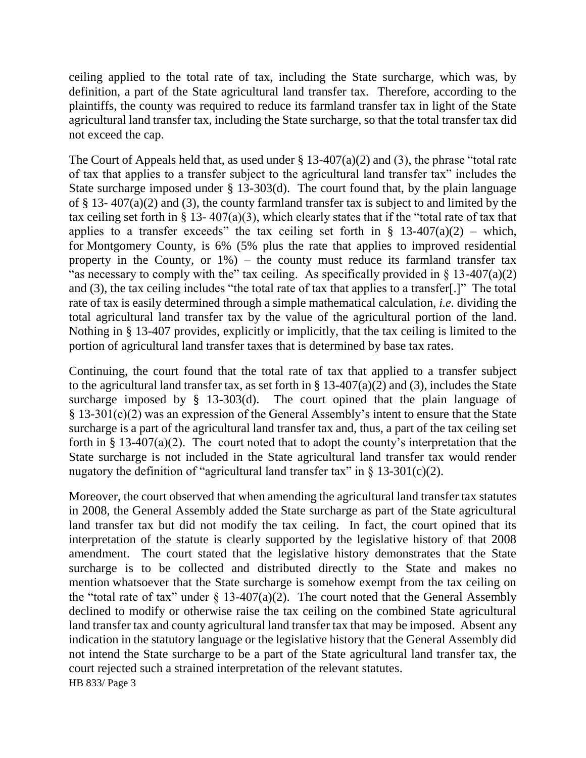ceiling applied to the total rate of tax, including the State surcharge, which was, by definition, a part of the State agricultural land transfer tax. Therefore, according to the plaintiffs, the county was required to reduce its farmland transfer tax in light of the State agricultural land transfer tax, including the State surcharge, so that the total transfer tax did not exceed the cap.

The Court of Appeals held that, as used under  $\S 13-407(a)(2)$  and (3), the phrase "total rate of tax that applies to a transfer subject to the agricultural land transfer tax" includes the State surcharge imposed under § 13-303(d). The court found that, by the plain language of § 13- 407(a)(2) and (3), the county farmland transfer tax is subject to and limited by the tax ceiling set forth in § 13- 407(a)(3), which clearly states that if the "total rate of tax that applies to a transfer exceeds" the tax ceiling set forth in  $\S$  13-407(a)(2) – which, for Montgomery County, is 6% (5% plus the rate that applies to improved residential property in the County, or  $1\%$ ) – the county must reduce its farmland transfer tax "as necessary to comply with the" tax ceiling. As specifically provided in  $\S$  13-407(a)(2) and (3), the tax ceiling includes "the total rate of tax that applies to a transfer[.]" The total rate of tax is easily determined through a simple mathematical calculation, *i.e.* dividing the total agricultural land transfer tax by the value of the agricultural portion of the land. Nothing in § 13-407 provides, explicitly or implicitly, that the tax ceiling is limited to the portion of agricultural land transfer taxes that is determined by base tax rates.

Continuing, the court found that the total rate of tax that applied to a transfer subject to the agricultural land transfer tax, as set forth in  $\S 13-407(a)(2)$  and (3), includes the State surcharge imposed by § 13-303(d). The court opined that the plain language of § 13-301(c)(2) was an expression of the General Assembly's intent to ensure that the State surcharge is a part of the agricultural land transfer tax and, thus, a part of the tax ceiling set forth in § 13-407(a)(2). The court noted that to adopt the county's interpretation that the State surcharge is not included in the State agricultural land transfer tax would render nugatory the definition of "agricultural land transfer tax" in  $\S$  13-301(c)(2).

HB 833/ Page 3 Moreover, the court observed that when amending the agricultural land transfer tax statutes in 2008, the General Assembly added the State surcharge as part of the State agricultural land transfer tax but did not modify the tax ceiling. In fact, the court opined that its interpretation of the statute is clearly supported by the legislative history of that 2008 amendment. The court stated that the legislative history demonstrates that the State surcharge is to be collected and distributed directly to the State and makes no mention whatsoever that the State surcharge is somehow exempt from the tax ceiling on the "total rate of tax" under  $\S$  13-407(a)(2). The court noted that the General Assembly declined to modify or otherwise raise the tax ceiling on the combined State agricultural land transfer tax and county agricultural land transfer tax that may be imposed. Absent any indication in the statutory language or the legislative history that the General Assembly did not intend the State surcharge to be a part of the State agricultural land transfer tax, the court rejected such a strained interpretation of the relevant statutes.